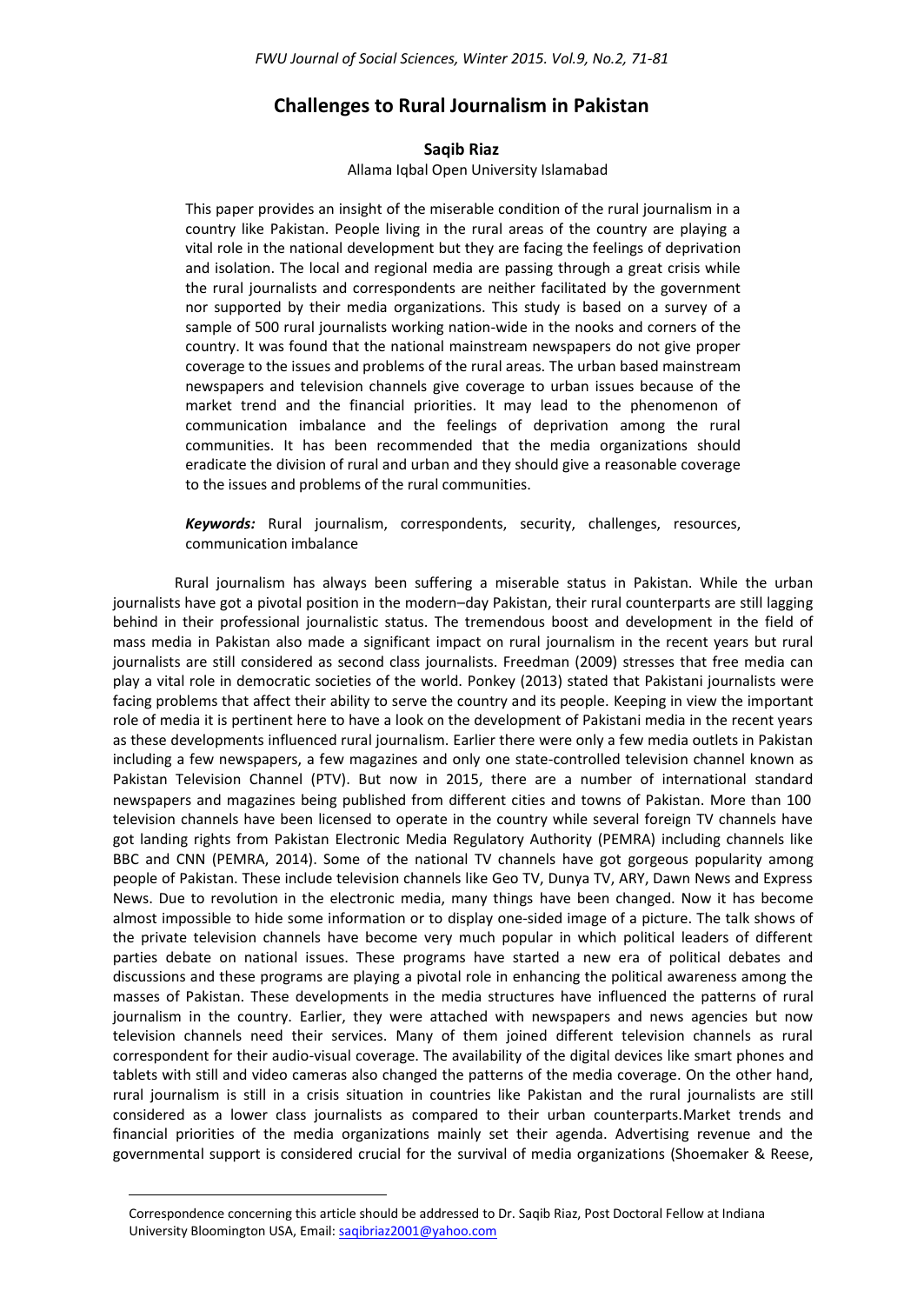# **Challenges to Rural Journalism in Pakistan**

## **Saqib Riaz**

#### Allama Iqbal Open University Islamabad

This paper provides an insight of the miserable condition of the rural journalism in a country like Pakistan. People living in the rural areas of the country are playing a vital role in the national development but they are facing the feelings of deprivation and isolation. The local and regional media are passing through a great crisis while the rural journalists and correspondents are neither facilitated by the government nor supported by their media organizations. This study is based on a survey of a sample of 500 rural journalists working nation-wide in the nooks and corners of the country. It was found that the national mainstream newspapers do not give proper coverage to the issues and problems of the rural areas. The urban based mainstream newspapers and television channels give coverage to urban issues because of the market trend and the financial priorities. It may lead to the phenomenon of communication imbalance and the feelings of deprivation among the rural communities. It has been recommended that the media organizations should eradicate the division of rural and urban and they should give a reasonable coverage to the issues and problems of the rural communities.

*Keywords:* Rural journalism, correspondents, security, challenges, resources, communication imbalance

Rural journalism has always been suffering a miserable status in Pakistan. While the urban journalists have got a pivotal position in the modern–day Pakistan, their rural counterparts are still lagging behind in their professional journalistic status. The tremendous boost and development in the field of mass media in Pakistan also made a significant impact on rural journalism in the recent years but rural journalists are still considered as second class journalists. Freedman (2009) stresses that free media can play a vital role in democratic societies of the world. Ponkey (2013) stated that Pakistani journalists were facing problems that affect their ability to serve the country and its people. Keeping in view the important role of media it is pertinent here to have a look on the development of Pakistani media in the recent years as these developments influenced rural journalism. Earlier there were only a few media outlets in Pakistan including a few newspapers, a few magazines and only one state-controlled television channel known as Pakistan Television Channel (PTV). But now in 2015, there are a number of international standard newspapers and magazines being published from different cities and towns of Pakistan. More than 100 television channels have been licensed to operate in the country while several foreign TV channels have got landing rights from Pakistan Electronic Media Regulatory Authority (PEMRA) including channels like BBC and CNN (PEMRA, 2014). Some of the national TV channels have got gorgeous popularity among people of Pakistan. These include television channels like Geo TV, Dunya TV, ARY, Dawn News and Express News. Due to revolution in the electronic media, many things have been changed. Now it has become almost impossible to hide some information or to display one-sided image of a picture. The talk shows of the private television channels have become very much popular in which political leaders of different parties debate on national issues. These programs have started a new era of political debates and discussions and these programs are playing a pivotal role in enhancing the political awareness among the masses of Pakistan. These developments in the media structures have influenced the patterns of rural journalism in the country. Earlier, they were attached with newspapers and news agencies but now television channels need their services. Many of them joined different television channels as rural correspondent for their audio-visual coverage. The availability of the digital devices like smart phones and tablets with still and video cameras also changed the patterns of the media coverage. On the other hand, rural journalism is still in a crisis situation in countries like Pakistan and the rural journalists are still considered as a lower class journalists as compared to their urban counterparts.Market trends and financial priorities of the media organizations mainly set their agenda. Advertising revenue and the governmental support is considered crucial for the survival of media organizations (Shoemaker & Reese,

 $\overline{\phantom{a}}$ 

Correspondence concerning this article should be addressed to Dr. Saqib Riaz, Post Doctoral Fellow at Indiana University Bloomington USA, Email[: saqibriaz2001@yahoo.com](mailto:saqibriaz2001@yahoo.com)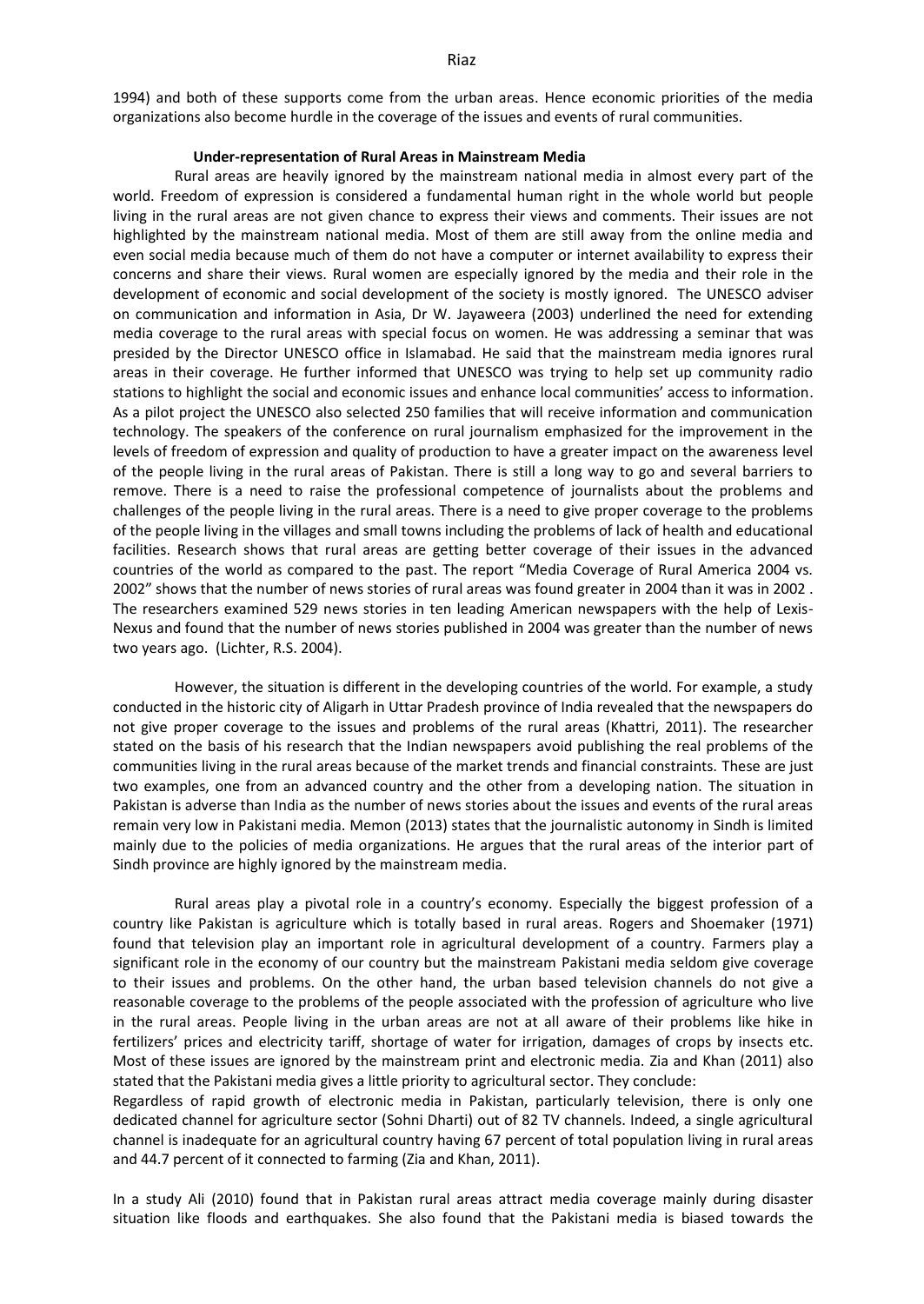1994) and both of these supports come from the urban areas. Hence economic priorities of the media organizations also become hurdle in the coverage of the issues and events of rural communities.

## **Under-representation of Rural Areas in Mainstream Media**

Rural areas are heavily ignored by the mainstream national media in almost every part of the world. Freedom of expression is considered a fundamental human right in the whole world but people living in the rural areas are not given chance to express their views and comments. Their issues are not highlighted by the mainstream national media. Most of them are still away from the online media and even social media because much of them do not have a computer or internet availability to express their concerns and share their views. Rural women are especially ignored by the media and their role in the development of economic and social development of the society is mostly ignored. The UNESCO adviser on communication and information in Asia, Dr W. Jayaweera (2003) underlined the need for extending media coverage to the rural areas with special focus on women. He was addressing a seminar that was presided by the Director UNESCO office in Islamabad. He said that the mainstream media ignores rural areas in their coverage. He further informed that UNESCO was trying to help set up community radio stations to highlight the social and economic issues and enhance local communities' access to information. As a pilot project the UNESCO also selected 250 families that will receive information and communication technology. The speakers of the conference on rural journalism emphasized for the improvement in the levels of freedom of expression and quality of production to have a greater impact on the awareness level of the people living in the rural areas of Pakistan. There is still a long way to go and several barriers to remove. There is a need to raise the professional competence of journalists about the problems and challenges of the people living in the rural areas. There is a need to give proper coverage to the problems of the people living in the villages and small towns including the problems of lack of health and educational facilities. Research shows that rural areas are getting better coverage of their issues in the advanced countries of the world as compared to the past. The report "Media Coverage of Rural America 2004 vs. 2002" shows that the number of news stories of rural areas was found greater in 2004 than it was in 2002 . The researchers examined 529 news stories in ten leading American newspapers with the help of Lexis-Nexus and found that the number of news stories published in 2004 was greater than the number of news two years ago. (Lichter, R.S. 2004).

However, the situation is different in the developing countries of the world. For example, a study conducted in the historic city of Aligarh in Uttar Pradesh province of India revealed that the newspapers do not give proper coverage to the issues and problems of the rural areas (Khattri, 2011). The researcher stated on the basis of his research that the Indian newspapers avoid publishing the real problems of the communities living in the rural areas because of the market trends and financial constraints. These are just two examples, one from an advanced country and the other from a developing nation. The situation in Pakistan is adverse than India as the number of news stories about the issues and events of the rural areas remain very low in Pakistani media. Memon (2013) states that the journalistic autonomy in Sindh is limited mainly due to the policies of media organizations. He argues that the rural areas of the interior part of Sindh province are highly ignored by the mainstream media.

Rural areas play a pivotal role in a country's economy. Especially the biggest profession of a country like Pakistan is agriculture which is totally based in rural areas. Rogers and Shoemaker (1971) found that television play an important role in agricultural development of a country. Farmers play a significant role in the economy of our country but the mainstream Pakistani media seldom give coverage to their issues and problems. On the other hand, the urban based television channels do not give a reasonable coverage to the problems of the people associated with the profession of agriculture who live in the rural areas. People living in the urban areas are not at all aware of their problems like hike in fertilizers' prices and electricity tariff, shortage of water for irrigation, damages of crops by insects etc. Most of these issues are ignored by the mainstream print and electronic media. Zia and Khan (2011) also stated that the Pakistani media gives a little priority to agricultural sector. They conclude:

Regardless of rapid growth of electronic media in Pakistan, particularly television, there is only one dedicated channel for agriculture sector (Sohni Dharti) out of 82 TV channels. Indeed, a single agricultural channel is inadequate for an agricultural country having 67 percent of total population living in rural areas and 44.7 percent of it connected to farming (Zia and Khan, 2011).

In a study Ali (2010) found that in Pakistan rural areas attract media coverage mainly during disaster situation like floods and earthquakes. She also found that the Pakistani media is biased towards the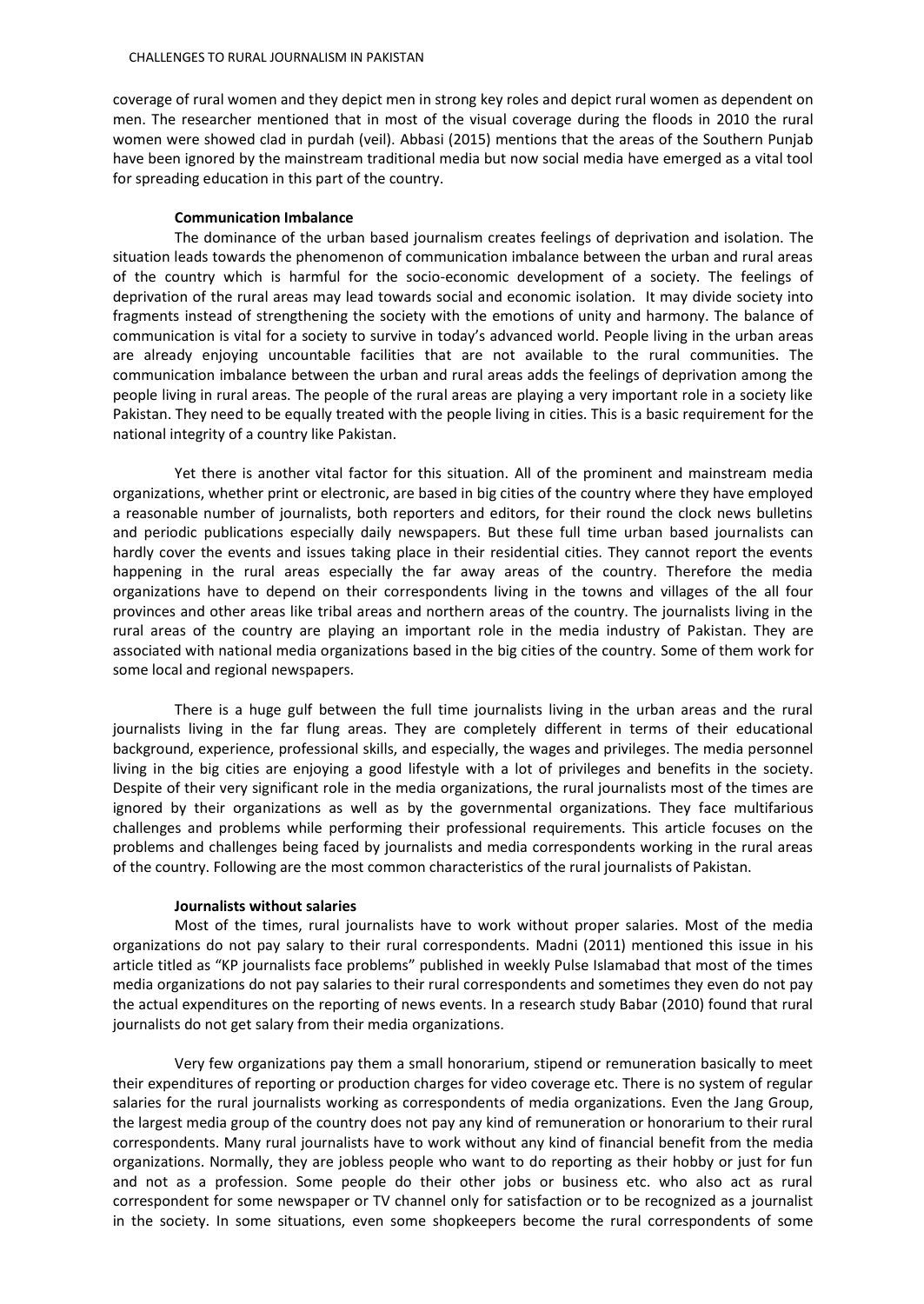coverage of rural women and they depict men in strong key roles and depict rural women as dependent on men. The researcher mentioned that in most of the visual coverage during the floods in 2010 the rural women were showed clad in purdah (veil). Abbasi (2015) mentions that the areas of the Southern Punjab have been ignored by the mainstream traditional media but now social media have emerged as a vital tool for spreading education in this part of the country.

## **Communication Imbalance**

The dominance of the urban based journalism creates feelings of deprivation and isolation. The situation leads towards the phenomenon of communication imbalance between the urban and rural areas of the country which is harmful for the socio-economic development of a society. The feelings of deprivation of the rural areas may lead towards social and economic isolation. It may divide society into fragments instead of strengthening the society with the emotions of unity and harmony. The balance of communication is vital for a society to survive in today's advanced world. People living in the urban areas are already enjoying uncountable facilities that are not available to the rural communities. The communication imbalance between the urban and rural areas adds the feelings of deprivation among the people living in rural areas. The people of the rural areas are playing a very important role in a society like Pakistan. They need to be equally treated with the people living in cities. This is a basic requirement for the national integrity of a country like Pakistan.

Yet there is another vital factor for this situation. All of the prominent and mainstream media organizations, whether print or electronic, are based in big cities of the country where they have employed a reasonable number of journalists, both reporters and editors, for their round the clock news bulletins and periodic publications especially daily newspapers. But these full time urban based journalists can hardly cover the events and issues taking place in their residential cities. They cannot report the events happening in the rural areas especially the far away areas of the country. Therefore the media organizations have to depend on their correspondents living in the towns and villages of the all four provinces and other areas like tribal areas and northern areas of the country. The journalists living in the rural areas of the country are playing an important role in the media industry of Pakistan. They are associated with national media organizations based in the big cities of the country. Some of them work for some local and regional newspapers.

There is a huge gulf between the full time journalists living in the urban areas and the rural journalists living in the far flung areas. They are completely different in terms of their educational background, experience, professional skills, and especially, the wages and privileges. The media personnel living in the big cities are enjoying a good lifestyle with a lot of privileges and benefits in the society. Despite of their very significant role in the media organizations, the rural journalists most of the times are ignored by their organizations as well as by the governmental organizations. They face multifarious challenges and problems while performing their professional requirements. This article focuses on the problems and challenges being faced by journalists and media correspondents working in the rural areas of the country. Following are the most common characteristics of the rural journalists of Pakistan.

## **Journalists without salaries**

Most of the times, rural journalists have to work without proper salaries. Most of the media organizations do not pay salary to their rural correspondents. Madni (2011) mentioned this issue in his article titled as "KP journalists face problems" published in weekly Pulse Islamabad that most of the times media organizations do not pay salaries to their rural correspondents and sometimes they even do not pay the actual expenditures on the reporting of news events. In a research study Babar (2010) found that rural journalists do not get salary from their media organizations.

Very few organizations pay them a small honorarium, stipend or remuneration basically to meet their expenditures of reporting or production charges for video coverage etc. There is no system of regular salaries for the rural journalists working as correspondents of media organizations. Even the Jang Group, the largest media group of the country does not pay any kind of remuneration or honorarium to their rural correspondents. Many rural journalists have to work without any kind of financial benefit from the media organizations. Normally, they are jobless people who want to do reporting as their hobby or just for fun and not as a profession. Some people do their other jobs or business etc. who also act as rural correspondent for some newspaper or TV channel only for satisfaction or to be recognized as a journalist in the society. In some situations, even some shopkeepers become the rural correspondents of some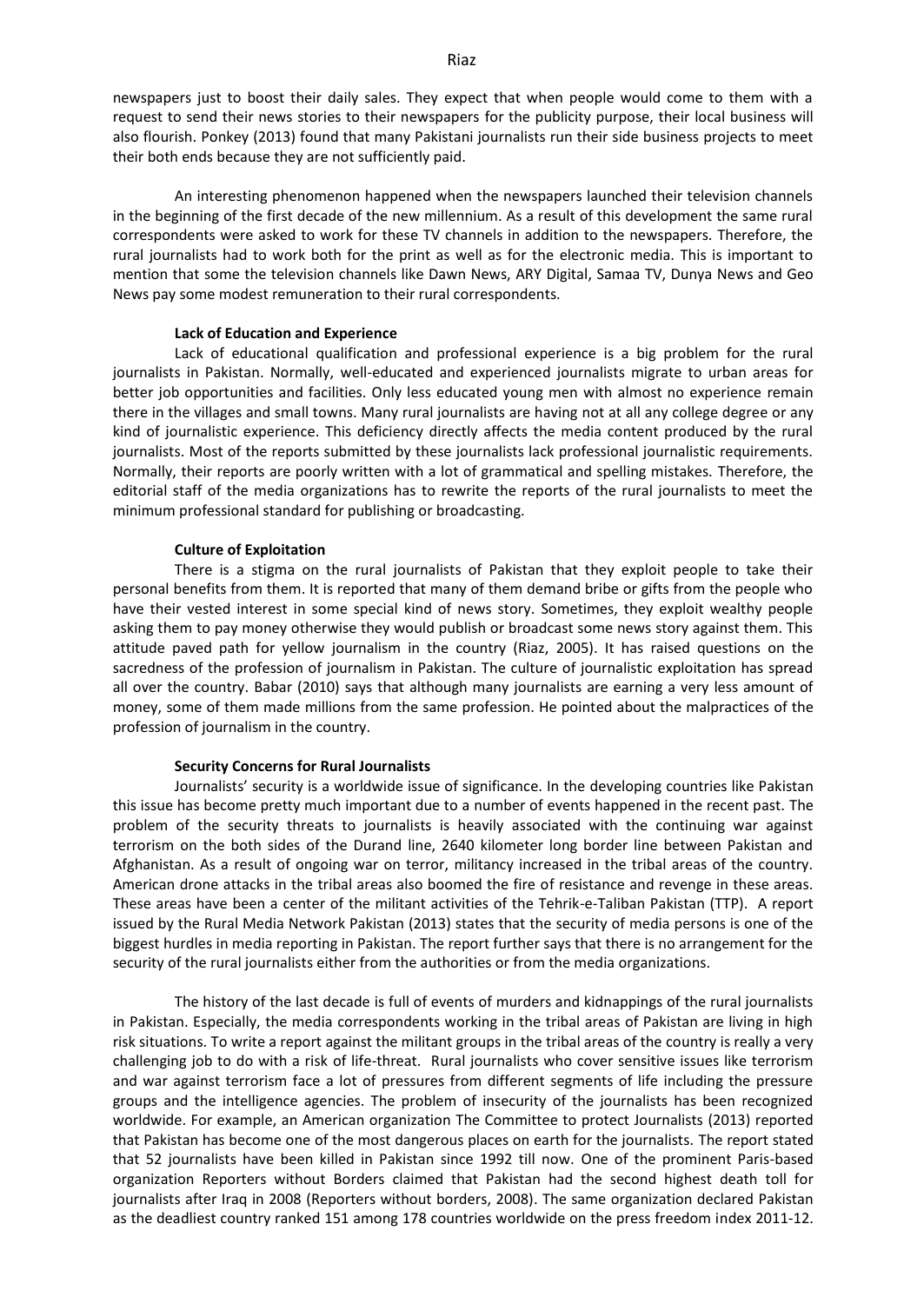newspapers just to boost their daily sales. They expect that when people would come to them with a request to send their news stories to their newspapers for the publicity purpose, their local business will also flourish. Ponkey (2013) found that many Pakistani journalists run their side business projects to meet their both ends because they are not sufficiently paid.

An interesting phenomenon happened when the newspapers launched their television channels in the beginning of the first decade of the new millennium. As a result of this development the same rural correspondents were asked to work for these TV channels in addition to the newspapers. Therefore, the rural journalists had to work both for the print as well as for the electronic media. This is important to mention that some the television channels like Dawn News, ARY Digital, Samaa TV, Dunya News and Geo News pay some modest remuneration to their rural correspondents.

#### **Lack of Education and Experience**

Lack of educational qualification and professional experience is a big problem for the rural journalists in Pakistan. Normally, well-educated and experienced journalists migrate to urban areas for better job opportunities and facilities. Only less educated young men with almost no experience remain there in the villages and small towns. Many rural journalists are having not at all any college degree or any kind of journalistic experience. This deficiency directly affects the media content produced by the rural journalists. Most of the reports submitted by these journalists lack professional journalistic requirements. Normally, their reports are poorly written with a lot of grammatical and spelling mistakes. Therefore, the editorial staff of the media organizations has to rewrite the reports of the rural journalists to meet the minimum professional standard for publishing or broadcasting.

#### **Culture of Exploitation**

There is a stigma on the rural journalists of Pakistan that they exploit people to take their personal benefits from them. It is reported that many of them demand bribe or gifts from the people who have their vested interest in some special kind of news story. Sometimes, they exploit wealthy people asking them to pay money otherwise they would publish or broadcast some news story against them. This attitude paved path for yellow journalism in the country (Riaz, 2005). It has raised questions on the sacredness of the profession of journalism in Pakistan. The culture of journalistic exploitation has spread all over the country. Babar (2010) says that although many journalists are earning a very less amount of money, some of them made millions from the same profession. He pointed about the malpractices of the profession of journalism in the country.

#### **Security Concerns for Rural Journalists**

Journalists' security is a worldwide issue of significance. In the developing countries like Pakistan this issue has become pretty much important due to a number of events happened in the recent past. The problem of the security threats to journalists is heavily associated with the continuing war against terrorism on the both sides of the Durand line, 2640 kilometer long border line between Pakistan and Afghanistan. As a result of ongoing war on terror, militancy increased in the tribal areas of the country. American drone attacks in the tribal areas also boomed the fire of resistance and revenge in these areas. These areas have been a center of the militant activities of the Tehrik-e-Taliban Pakistan (TTP). A report issued by the Rural Media Network Pakistan (2013) states that the security of media persons is one of the biggest hurdles in media reporting in Pakistan. The report further says that there is no arrangement for the security of the rural journalists either from the authorities or from the media organizations.

The history of the last decade is full of events of murders and kidnappings of the rural journalists in Pakistan. Especially, the media correspondents working in the tribal areas of Pakistan are living in high risk situations. To write a report against the militant groups in the tribal areas of the country is really a very challenging job to do with a risk of life-threat. Rural journalists who cover sensitive issues like terrorism and war against terrorism face a lot of pressures from different segments of life including the pressure groups and the intelligence agencies. The problem of insecurity of the journalists has been recognized worldwide. For example, an American organization The Committee to protect Journalists (2013) reported that Pakistan has become one of the most dangerous places on earth for the journalists. The report stated that 52 journalists have been killed in Pakistan since 1992 till now. One of the prominent Paris-based organization Reporters without Borders claimed that Pakistan had the second highest death toll for journalists after Iraq in 2008 (Reporters without borders, 2008). The same organization declared Pakistan as the deadliest country ranked 151 among 178 countries worldwide on the press freedom index 2011-12.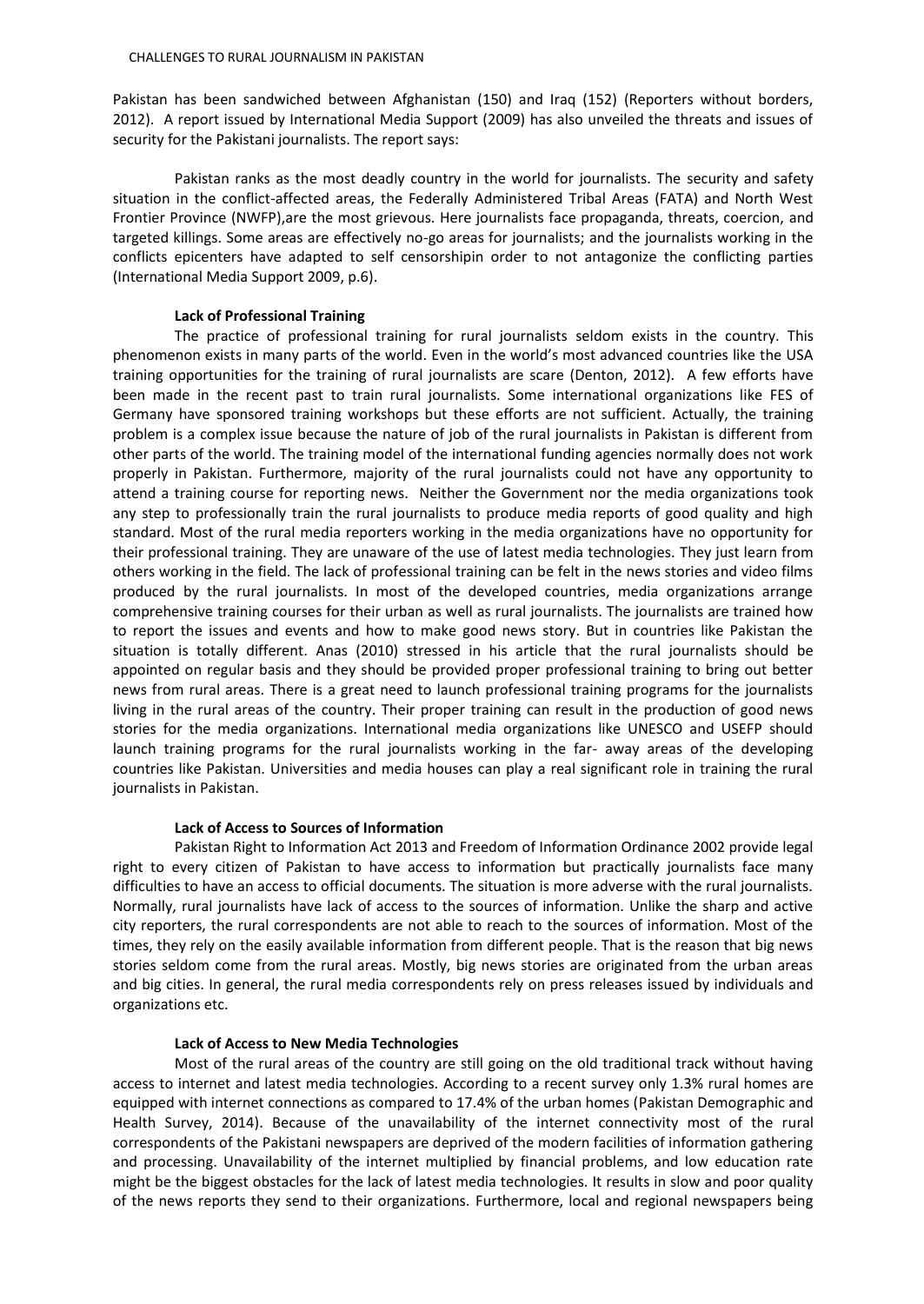Pakistan has been sandwiched between Afghanistan (150) and Iraq (152) (Reporters without borders, 2012). A report issued by International Media Support (2009) has also unveiled the threats and issues of security for the Pakistani journalists. The report says:

Pakistan ranks as the most deadly country in the world for journalists. The security and safety situation in the conflict-affected areas, the Federally Administered Tribal Areas (FATA) and North West Frontier Province (NWFP),are the most grievous. Here journalists face propaganda, threats, coercion, and targeted killings. Some areas are effectively no-go areas for journalists; and the journalists working in the conflicts epicenters have adapted to self censorshipin order to not antagonize the conflicting parties (International Media Support 2009, p.6).

## **Lack of Professional Training**

The practice of professional training for rural journalists seldom exists in the country. This phenomenon exists in many parts of the world. Even in the world's most advanced countries like the USA training opportunities for the training of rural journalists are scare (Denton, 2012). A few efforts have been made in the recent past to train rural journalists. Some international organizations like FES of Germany have sponsored training workshops but these efforts are not sufficient. Actually, the training problem is a complex issue because the nature of job of the rural journalists in Pakistan is different from other parts of the world. The training model of the international funding agencies normally does not work properly in Pakistan. Furthermore, majority of the rural journalists could not have any opportunity to attend a training course for reporting news. Neither the Government nor the media organizations took any step to professionally train the rural journalists to produce media reports of good quality and high standard. Most of the rural media reporters working in the media organizations have no opportunity for their professional training. They are unaware of the use of latest media technologies. They just learn from others working in the field. The lack of professional training can be felt in the news stories and video films produced by the rural journalists. In most of the developed countries, media organizations arrange comprehensive training courses for their urban as well as rural journalists. The journalists are trained how to report the issues and events and how to make good news story. But in countries like Pakistan the situation is totally different. Anas (2010) stressed in his article that the rural journalists should be appointed on regular basis and they should be provided proper professional training to bring out better news from rural areas. There is a great need to launch professional training programs for the journalists living in the rural areas of the country. Their proper training can result in the production of good news stories for the media organizations. International media organizations like UNESCO and USEFP should launch training programs for the rural journalists working in the far- away areas of the developing countries like Pakistan. Universities and media houses can play a real significant role in training the rural journalists in Pakistan.

#### **Lack of Access to Sources of Information**

Pakistan Right to Information Act 2013 and Freedom of Information Ordinance 2002 provide legal right to every citizen of Pakistan to have access to information but practically journalists face many difficulties to have an access to official documents. The situation is more adverse with the rural journalists. Normally, rural journalists have lack of access to the sources of information. Unlike the sharp and active city reporters, the rural correspondents are not able to reach to the sources of information. Most of the times, they rely on the easily available information from different people. That is the reason that big news stories seldom come from the rural areas. Mostly, big news stories are originated from the urban areas and big cities. In general, the rural media correspondents rely on press releases issued by individuals and organizations etc.

## **Lack of Access to New Media Technologies**

Most of the rural areas of the country are still going on the old traditional track without having access to internet and latest media technologies. According to a recent survey only 1.3% rural homes are equipped with internet connections as compared to 17.4% of the urban homes (Pakistan Demographic and Health Survey, 2014). Because of the unavailability of the internet connectivity most of the rural correspondents of the Pakistani newspapers are deprived of the modern facilities of information gathering and processing. Unavailability of the internet multiplied by financial problems, and low education rate might be the biggest obstacles for the lack of latest media technologies. It results in slow and poor quality of the news reports they send to their organizations. Furthermore, local and regional newspapers being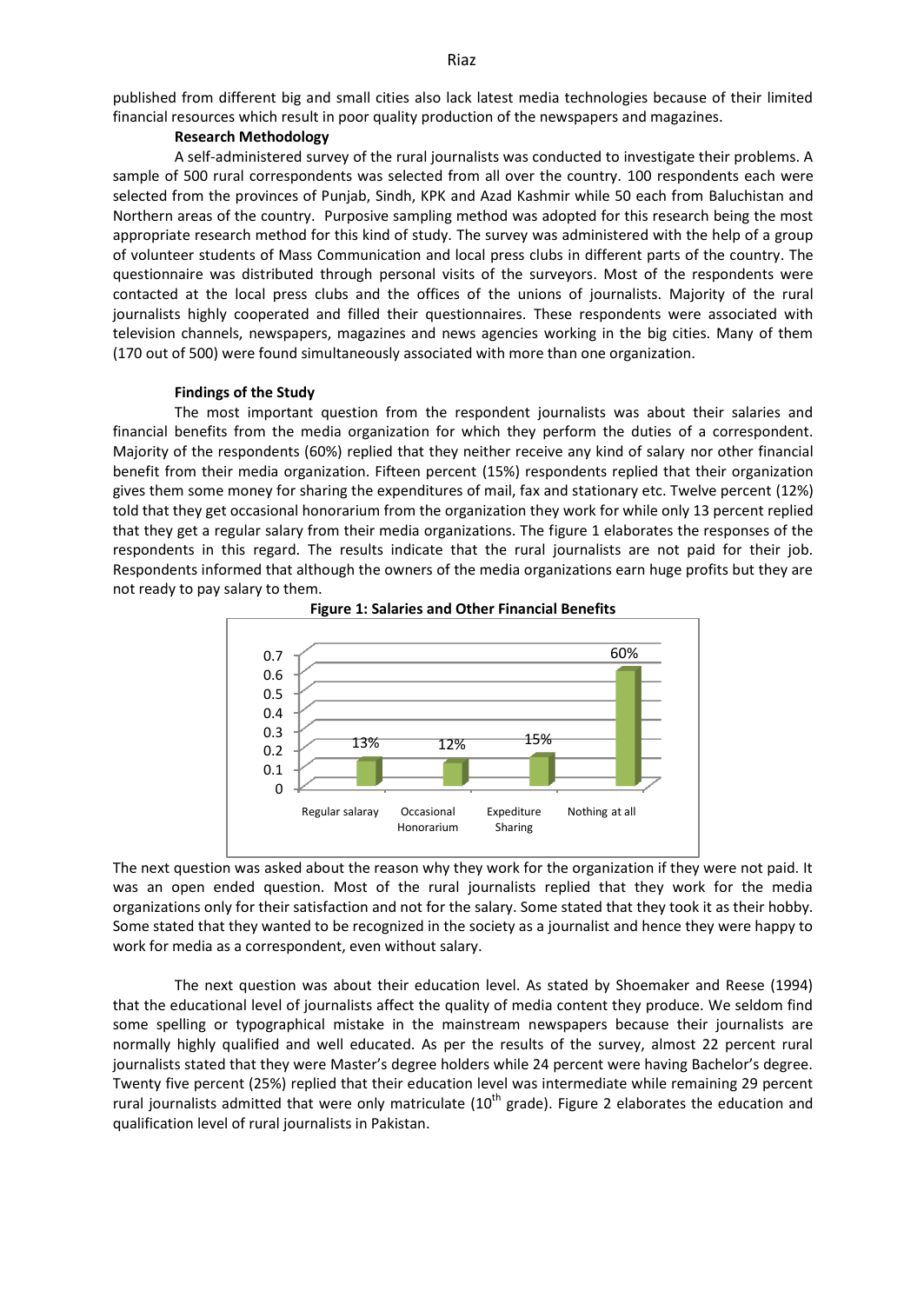published from different big and small cities also lack latest media technologies because of their limited financial resources which result in poor quality production of the newspapers and magazines.

## **Research Methodology**

A self-administered survey of the rural journalists was conducted to investigate their problems. A sample of 500 rural correspondents was selected from all over the country. 100 respondents each were selected from the provinces of Punjab, Sindh, KPK and Azad Kashmir while 50 each from Baluchistan and Northern areas of the country. Purposive sampling method was adopted for this research being the most appropriate research method for this kind of study. The survey was administered with the help of a group of volunteer students of Mass Communication and local press clubs in different parts of the country. The questionnaire was distributed through personal visits of the surveyors. Most of the respondents were contacted at the local press clubs and the offices of the unions of journalists. Majority of the rural journalists highly cooperated and filled their questionnaires. These respondents were associated with television channels, newspapers, magazines and news agencies working in the big cities. Many of them (170 out of 500) were found simultaneously associated with more than one organization.

#### **Findings of the Study**

The most important question from the respondent journalists was about their salaries and financial benefits from the media organization for which they perform the duties of a correspondent. Majority of the respondents (60%) replied that they neither receive any kind of salary nor other financial benefit from their media organization. Fifteen percent (15%) respondents replied that their organization gives them some money for sharing the expenditures of mail, fax and stationary etc. Twelve percent (12%) told that they get occasional honorarium from the organization they work for while only 13 percent replied that they get a regular salary from their media organizations. The figure 1 elaborates the responses of the respondents in this regard. The results indicate that the rural journalists are not paid for their job. Respondents informed that although the owners of the media organizations earn huge profits but they are not ready to pay salary to them.





The next question was asked about the reason why they work for the organization if they were not paid. It was an open ended question. Most of the rural journalists replied that they work for the media organizations only for their satisfaction and not for the salary. Some stated that they took it as their hobby. Some stated that they wanted to be recognized in the society as a journalist and hence they were happy to work for media as a correspondent, even without salary.

The next question was about their education level. As stated by Shoemaker and Reese (1994) that the educational level of journalists affect the quality of media content they produce. We seldom find some spelling or typographical mistake in the mainstream newspapers because their journalists are normally highly qualified and well educated. As per the results of the survey, almost 22 percent rural journalists stated that they were Master's degree holders while 24 percent were having Bachelor's degree. Twenty five percent (25%) replied that their education level was intermediate while remaining 29 percent rural journalists admitted that were only matriculate  $(10<sup>th</sup>$  grade). Figure 2 elaborates the education and qualification level of rural journalists in Pakistan.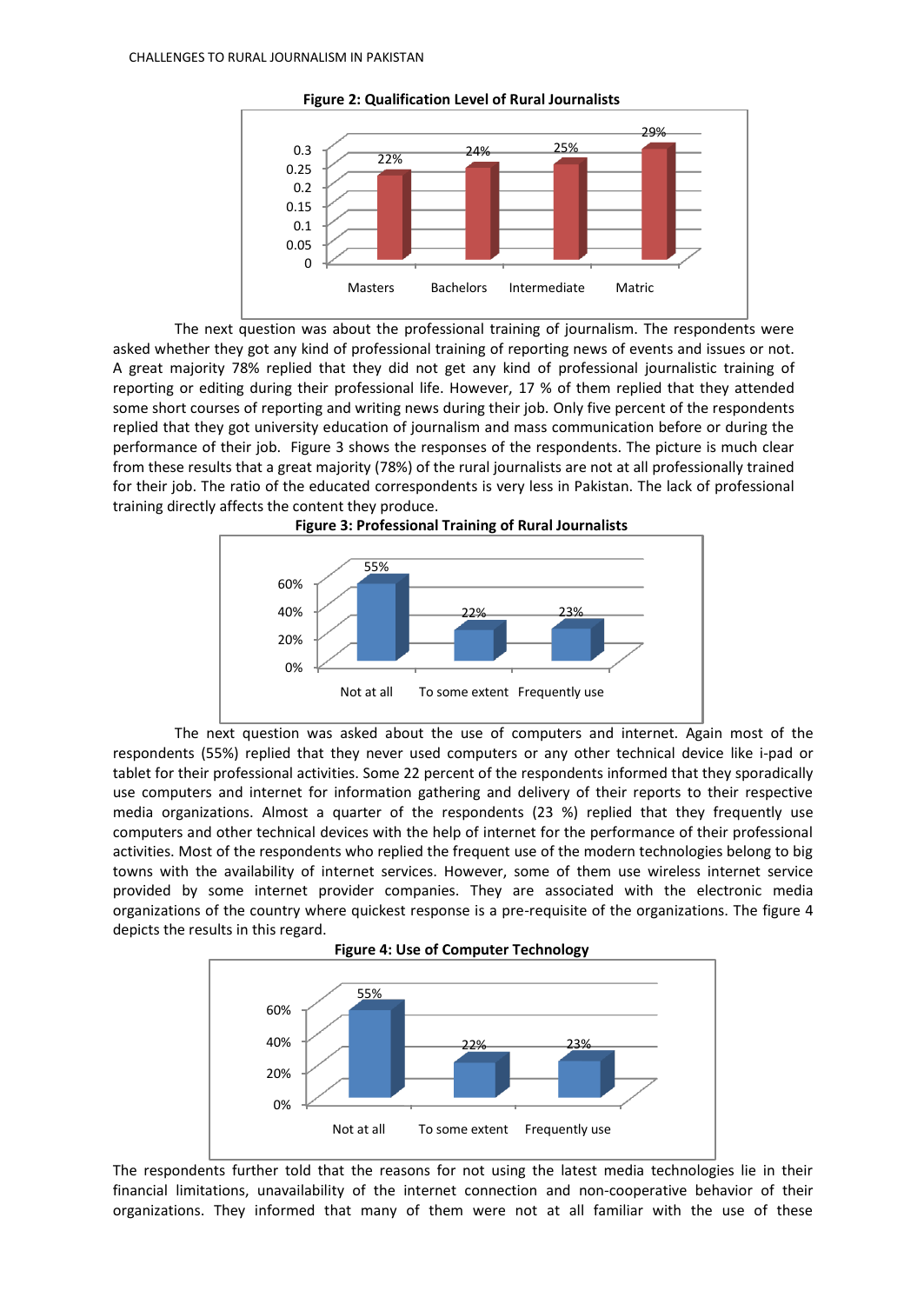

**Figure 2: Qualification Level of Rural Journalists**

The next question was about the professional training of journalism. The respondents were asked whether they got any kind of professional training of reporting news of events and issues or not. A great majority 78% replied that they did not get any kind of professional journalistic training of reporting or editing during their professional life. However, 17 % of them replied that they attended some short courses of reporting and writing news during their job. Only five percent of the respondents replied that they got university education of journalism and mass communication before or during the performance of their job. Figure 3 shows the responses of the respondents. The picture is much clear from these results that a great majority (78%) of the rural journalists are not at all professionally trained for their job. The ratio of the educated correspondents is very less in Pakistan. The lack of professional training directly affects the content they produce.





The next question was asked about the use of computers and internet. Again most of the respondents (55%) replied that they never used computers or any other technical device like i-pad or tablet for their professional activities. Some 22 percent of the respondents informed that they sporadically use computers and internet for information gathering and delivery of their reports to their respective media organizations. Almost a quarter of the respondents (23 %) replied that they frequently use computers and other technical devices with the help of internet for the performance of their professional activities. Most of the respondents who replied the frequent use of the modern technologies belong to big towns with the availability of internet services. However, some of them use wireless internet service provided by some internet provider companies. They are associated with the electronic media organizations of the country where quickest response is a pre-requisite of the organizations. The figure 4 depicts the results in this regard.





The respondents further told that the reasons for not using the latest media technologies lie in their financial limitations, unavailability of the internet connection and non-cooperative behavior of their organizations. They informed that many of them were not at all familiar with the use of these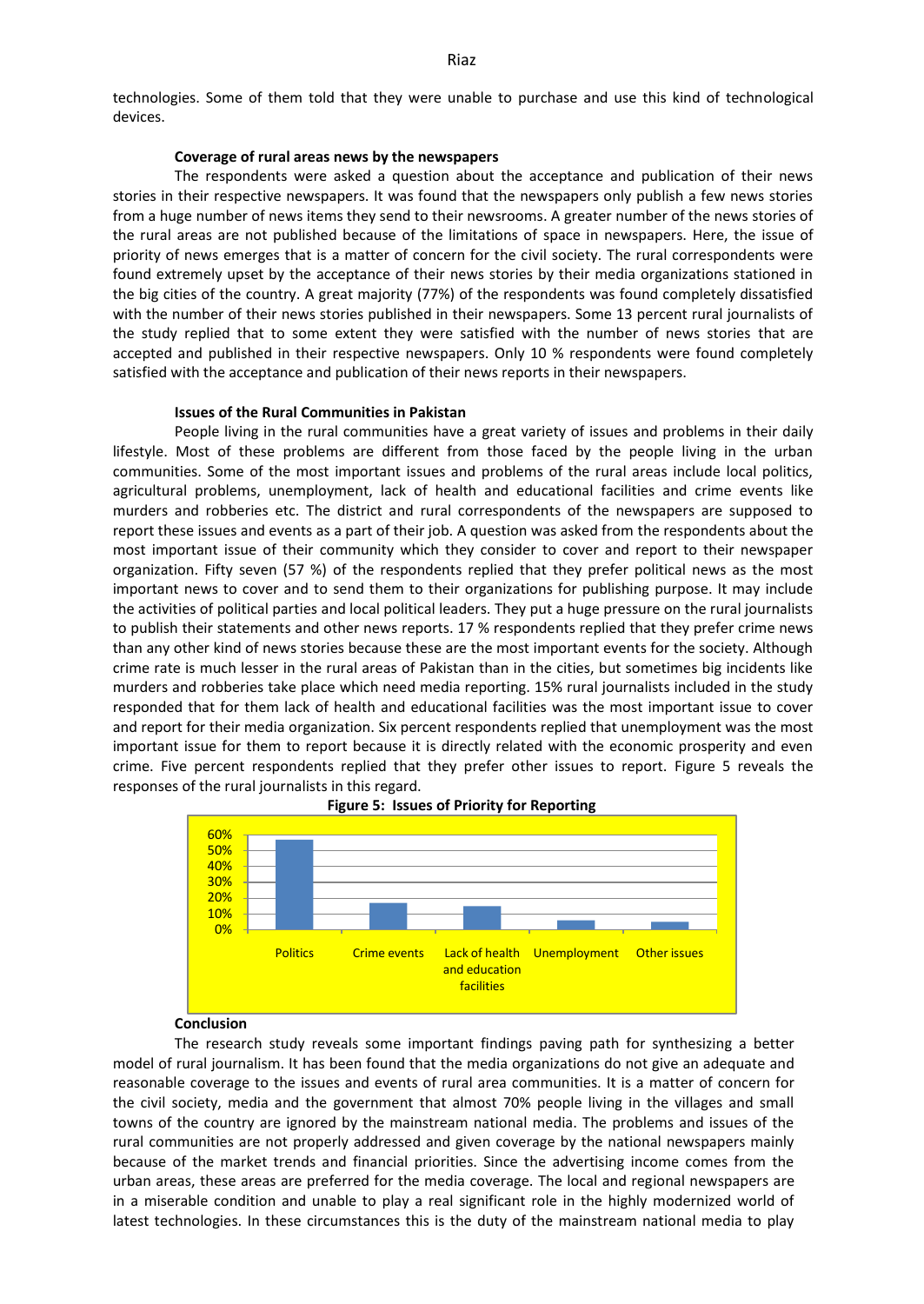technologies. Some of them told that they were unable to purchase and use this kind of technological devices.

## **Coverage of rural areas news by the newspapers**

The respondents were asked a question about the acceptance and publication of their news stories in their respective newspapers. It was found that the newspapers only publish a few news stories from a huge number of news items they send to their newsrooms. A greater number of the news stories of the rural areas are not published because of the limitations of space in newspapers. Here, the issue of priority of news emerges that is a matter of concern for the civil society. The rural correspondents were found extremely upset by the acceptance of their news stories by their media organizations stationed in the big cities of the country. A great majority (77%) of the respondents was found completely dissatisfied with the number of their news stories published in their newspapers. Some 13 percent rural journalists of the study replied that to some extent they were satisfied with the number of news stories that are accepted and published in their respective newspapers. Only 10 % respondents were found completely satisfied with the acceptance and publication of their news reports in their newspapers.

#### **Issues of the Rural Communities in Pakistan**

People living in the rural communities have a great variety of issues and problems in their daily lifestyle. Most of these problems are different from those faced by the people living in the urban communities. Some of the most important issues and problems of the rural areas include local politics, agricultural problems, unemployment, lack of health and educational facilities and crime events like murders and robberies etc. The district and rural correspondents of the newspapers are supposed to report these issues and events as a part of their job. A question was asked from the respondents about the most important issue of their community which they consider to cover and report to their newspaper organization. Fifty seven (57 %) of the respondents replied that they prefer political news as the most important news to cover and to send them to their organizations for publishing purpose. It may include the activities of political parties and local political leaders. They put a huge pressure on the rural journalists to publish their statements and other news reports. 17 % respondents replied that they prefer crime news than any other kind of news stories because these are the most important events for the society. Although crime rate is much lesser in the rural areas of Pakistan than in the cities, but sometimes big incidents like murders and robberies take place which need media reporting. 15% rural journalists included in the study responded that for them lack of health and educational facilities was the most important issue to cover and report for their media organization. Six percent respondents replied that unemployment was the most important issue for them to report because it is directly related with the economic prosperity and even crime. Five percent respondents replied that they prefer other issues to report. Figure 5 reveals the responses of the rural journalists in this regard.



**Figure 5: Issues of Priority for Reporting**

## **Conclusion**

The research study reveals some important findings paving path for synthesizing a better model of rural journalism. It has been found that the media organizations do not give an adequate and reasonable coverage to the issues and events of rural area communities. It is a matter of concern for the civil society, media and the government that almost 70% people living in the villages and small towns of the country are ignored by the mainstream national media. The problems and issues of the rural communities are not properly addressed and given coverage by the national newspapers mainly because of the market trends and financial priorities. Since the advertising income comes from the urban areas, these areas are preferred for the media coverage. The local and regional newspapers are in a miserable condition and unable to play a real significant role in the highly modernized world of latest technologies. In these circumstances this is the duty of the mainstream national media to play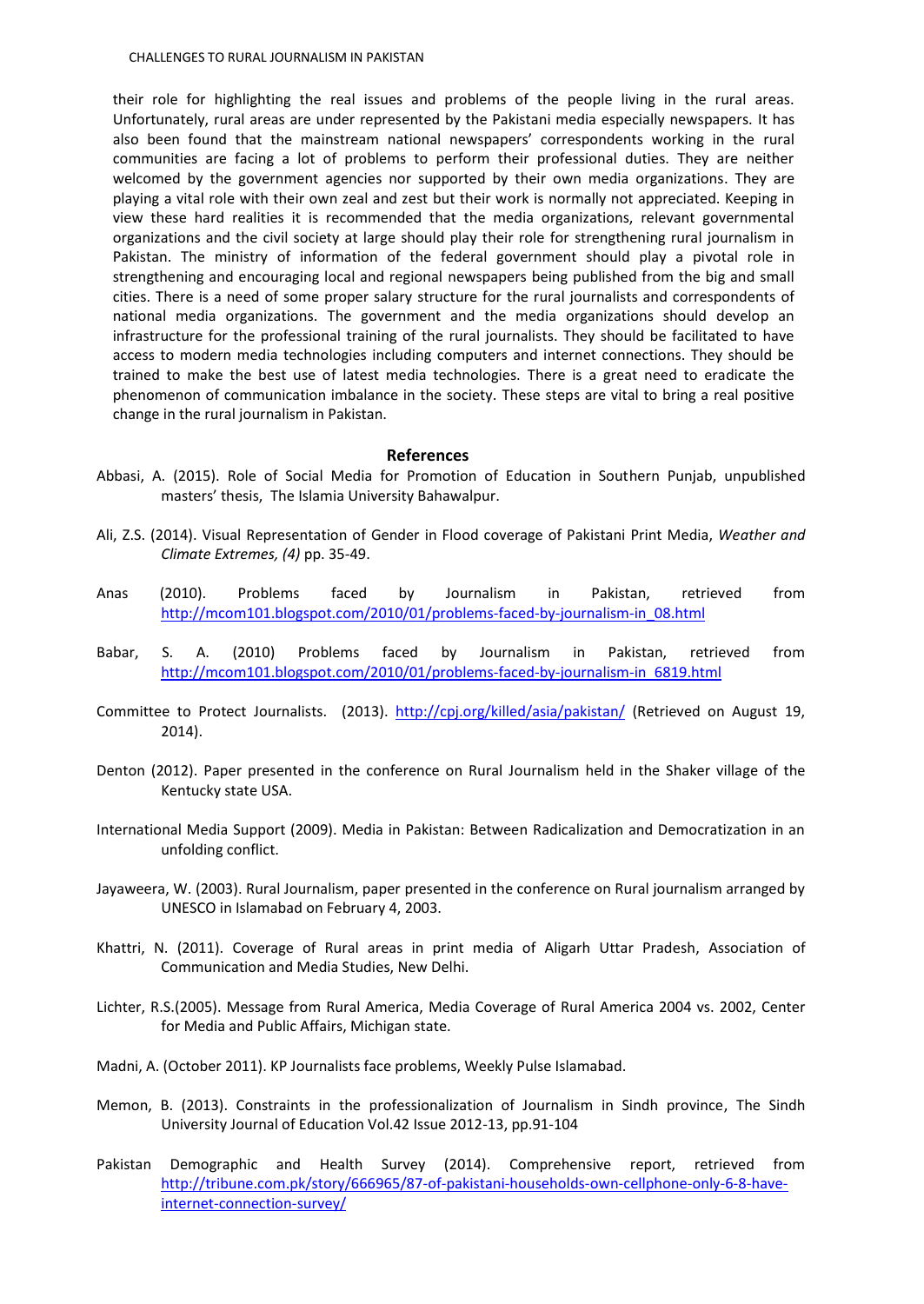their role for highlighting the real issues and problems of the people living in the rural areas. Unfortunately, rural areas are under represented by the Pakistani media especially newspapers. It has also been found that the mainstream national newspapers' correspondents working in the rural communities are facing a lot of problems to perform their professional duties. They are neither welcomed by the government agencies nor supported by their own media organizations. They are playing a vital role with their own zeal and zest but their work is normally not appreciated. Keeping in view these hard realities it is recommended that the media organizations, relevant governmental organizations and the civil society at large should play their role for strengthening rural journalism in Pakistan. The ministry of information of the federal government should play a pivotal role in strengthening and encouraging local and regional newspapers being published from the big and small cities. There is a need of some proper salary structure for the rural journalists and correspondents of national media organizations. The government and the media organizations should develop an infrastructure for the professional training of the rural journalists. They should be facilitated to have access to modern media technologies including computers and internet connections. They should be trained to make the best use of latest media technologies. There is a great need to eradicate the phenomenon of communication imbalance in the society. These steps are vital to bring a real positive change in the rural journalism in Pakistan.

#### **References**

- Abbasi, A. (2015). Role of Social Media for Promotion of Education in Southern Punjab, unpublished masters' thesis, The Islamia University Bahawalpur.
- Ali, Z.S. (2014). Visual Representation of Gender in Flood coverage of Pakistani Print Media, *Weather and Climate Extremes, (4)* pp. 35-49.
- Anas (2010). Problems faced by Journalism in Pakistan, retrieved from [http://mcom101.blogspot.com/2010/01/problems-faced-by-journalism-in\\_08.html](http://mcom101.blogspot.com/2010/01/problems-faced-by-journalism-in_08.html)
- Babar, S. A. (2010) Problems faced by Journalism in Pakistan, retrieved from [http://mcom101.blogspot.com/2010/01/problems-faced-by-journalism-in\\_6819.html](http://mcom101.blogspot.com/2010/01/problems-faced-by-journalism-in_6819.html)
- Committee to Protect Journalists. (2013).<http://cpj.org/killed/asia/pakistan/> (Retrieved on August 19, 2014).
- Denton (2012). Paper presented in the conference on Rural Journalism held in the Shaker village of the Kentucky state USA.
- International Media Support (2009). Media in Pakistan: Between Radicalization and Democratization in an unfolding conflict.
- Jayaweera, W. (2003). Rural Journalism, paper presented in the conference on Rural journalism arranged by UNESCO in Islamabad on February 4, 2003.
- Khattri, N. (2011). Coverage of Rural areas in print media of Aligarh Uttar Pradesh, Association of Communication and Media Studies, New Delhi.
- Lichter, R.S.(2005). Message from Rural America, Media Coverage of Rural America 2004 vs. 2002, Center for Media and Public Affairs, Michigan state.
- Madni, A. (October 2011). KP Journalists face problems, Weekly Pulse Islamabad.
- Memon, B. (2013). Constraints in the professionalization of Journalism in Sindh province, The Sindh University Journal of Education Vol.42 Issue 2012-13, pp.91-104
- Pakistan Demographic and Health Survey (2014). Comprehensive report, retrieved from [http://tribune.com.pk/story/666965/87-of-pakistani-households-own-cellphone-only-6-8-have](http://tribune.com.pk/story/666965/87-of-pakistani-households-own-cellphone-only-6-8-have-internet-connection-survey/)[internet-connection-survey/](http://tribune.com.pk/story/666965/87-of-pakistani-households-own-cellphone-only-6-8-have-internet-connection-survey/)